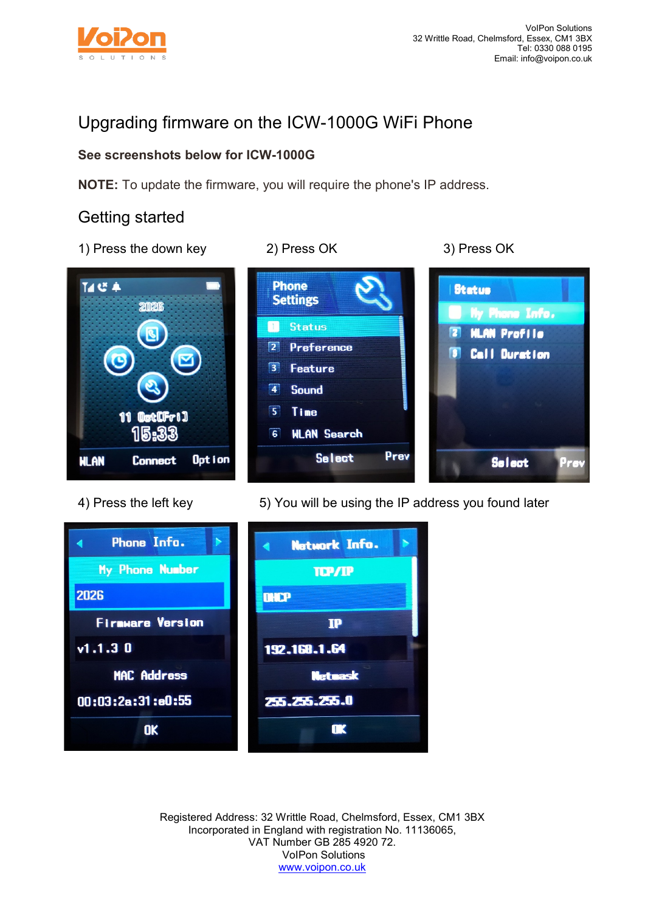

# Upgrading firmware on the ICW-1000G WiFi Phone

## **See screenshots below for ICW-1000G**

**NOTE:** To update the firmware, you will require the phone's IP address.

## Getting started

1) Press the down key 2) Press OK 3) Press OK

**Phone** 

 $\Box$ 

 $\overline{3}$ 

 $\overline{\mathbf{a}}$ 

 $\overline{5}$ 

 $\overline{6}$ 

**Settings** 

**Status** 

2 Preference

**Feature** 

Sound

Time

**WLAN Search** 

**Select** 

**Status** 

 $\overline{\mathbf{r}}$ 

Π

My Phone Info.

**HLAN Profile** 

**Call Duration** 

**Select** 

<sup>J</sup>rs





Prev



Registered Address: 32 Writtle Road, Chelmsford, Essex, CM1 3BX Incorporated in England with registration No. 11136065, VAT Number GB 285 4920 72. VoIPon Solutions [www.voipon.co.uk](http://www.voipon.co.uk/)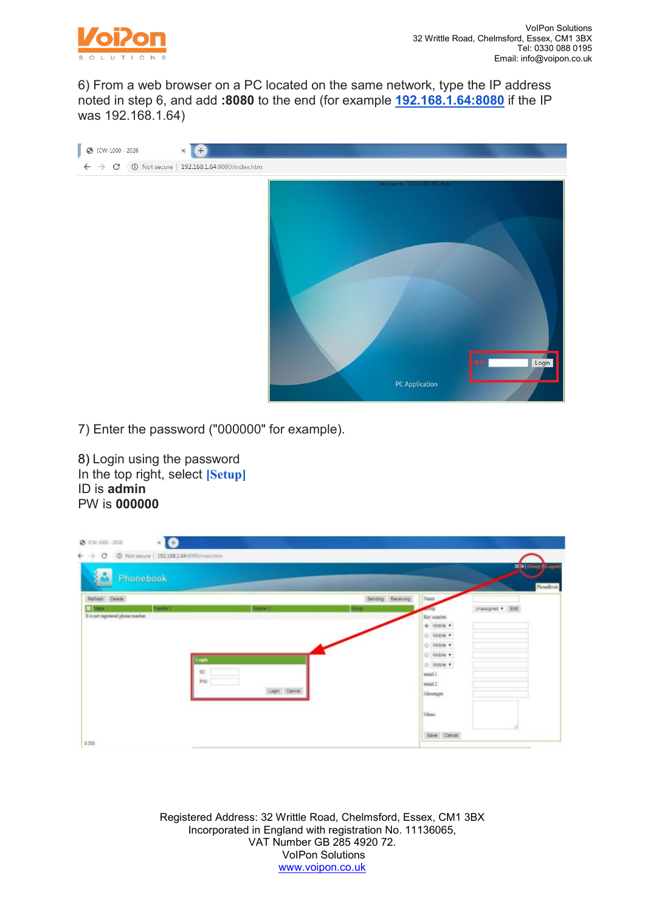

6) From a web browser on a PC located on the same network, type the IP address noted in step 6, and add **:8080** to the end (for example **[192.168.1.64:8080](http://192.168.1.25:8080/)** if the IP was 192.168.1.64)



7) Enter the password ("000000" for example).

8) Login using the password In the top right, select **[Setup]** ID is **admin** PW is **000000**

| $\leftarrow$ $\rightarrow$<br>192.168.1.64.8080/main.htm<br>C<br>Phonebook      |                                     |               |                          |                                                                                                 | 20 6   [Setup]   [Logaut] |           |
|---------------------------------------------------------------------------------|-------------------------------------|---------------|--------------------------|-------------------------------------------------------------------------------------------------|---------------------------|-----------|
| Refresh Delete<br><b>Name</b><br>Number 1<br>It is not registered phone manber. | Number <sub>1</sub><br>Logir<br>ID: | <b>Direct</b> | <b>Bending</b> Receiving | Name<br>Key nunber.<br>@ Mobile v<br>O Mobile .<br>O Mobile<br>O Mobile<br>O Mobile<br>essail I | Linassigned . Edit        | PhoneBook |
| 0.500                                                                           | PW:                                 | Login Cancel  |                          | enuil 2<br>Messenger<br>Meno<br>Save Cancel                                                     |                           |           |

Registered Address: 32 Writtle Road, Chelmsford, Essex, CM1 3BX Incorporated in England with registration No. 11136065, VAT Number GB 285 4920 72. VoIPon Solutions [www.voipon.co.uk](http://www.voipon.co.uk/)